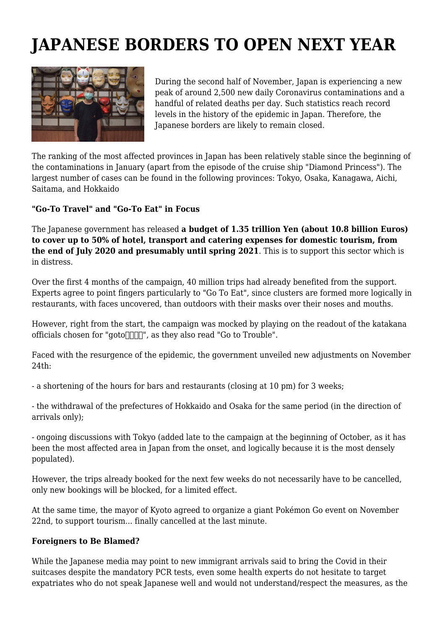## **JAPANESE BORDERS TO OPEN NEXT YEAR**



During the second half of November, Japan is experiencing a new peak of around 2,500 new daily Coronavirus contaminations and a handful of related deaths per day. Such statistics reach record levels in the history of the epidemic in Japan. Therefore, the Japanese borders are likely to remain closed.

The ranking of the most affected provinces in Japan has been relatively stable since the beginning of the contaminations in January (apart from the episode of the cruise ship "Diamond Princess"). The largest number of cases can be found in the following provinces: Tokyo, Osaka, Kanagawa, Aichi, Saitama, and Hokkaido

## **"Go-To Travel" and "Go-To Eat" in Focus**

The Japanese government has released **a budget of 1.35 trillion Yen (about 10.8 billion Euros) to cover up to 50% of hotel, transport and catering expenses for domestic tourism, from the end of July 2020 and presumably until spring 2021**. This is to support this sector which is in distress.

Over the first 4 months of the campaign, 40 million trips had already benefited from the support. Experts agree to point fingers particularly to "Go To Eat", since clusters are formed more logically in restaurants, with faces uncovered, than outdoors with their masks over their noses and mouths.

However, right from the start, the campaign was mocked by playing on the readout of the katakana officials chosen for "goto $\Box$  $\Box$ ", as they also read "Go to Trouble".

Faced with the resurgence of the epidemic, the government unveiled new adjustments on November 24th:

- a shortening of the hours for bars and restaurants (closing at 10 pm) for 3 weeks;

- the withdrawal of the prefectures of Hokkaido and Osaka for the same period (in the direction of arrivals only);

- ongoing discussions with Tokyo (added late to the campaign at the beginning of October, as it has been the most affected area in Japan from the onset, and logically because it is the most densely populated).

However, the trips already booked for the next few weeks do not necessarily have to be cancelled, only new bookings will be blocked, for a limited effect.

At the same time, the mayor of Kyoto agreed to organize a giant Pokémon Go event on November 22nd, to support tourism... finally cancelled at the last minute.

## **Foreigners to Be Blamed?**

While the Japanese media may point to new immigrant arrivals said to bring the Covid in their suitcases despite the mandatory PCR tests, even some health experts do not hesitate to target expatriates who do not speak Japanese well and would not understand/respect the measures, as the